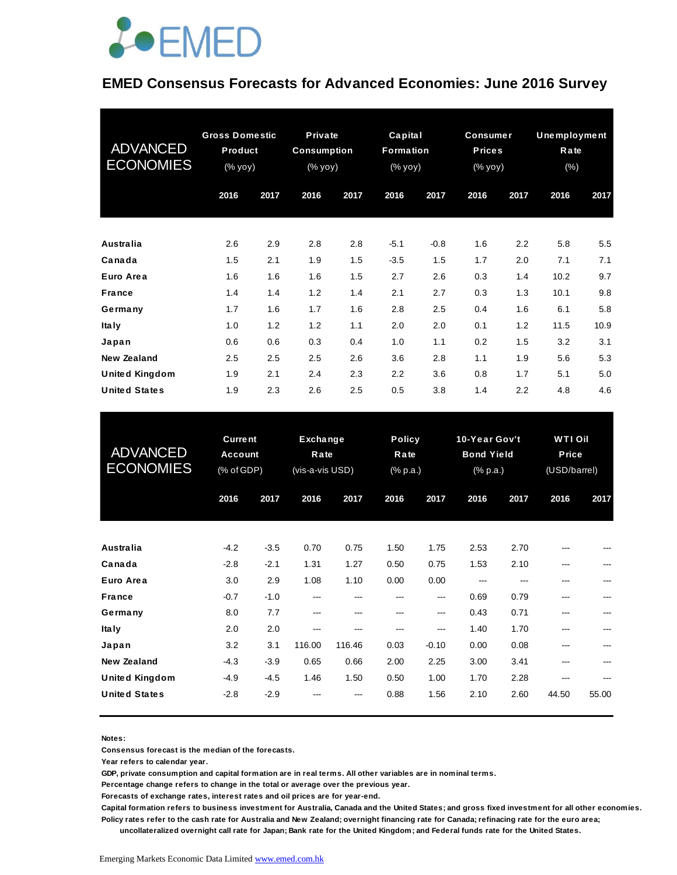

### **EMED Consensus Forecasts for Advanced Economies: June 2016 Survey**

| <b>ADVANCED</b><br><b>ECONOMIES</b> | <b>Gross Domestic</b><br>Product<br>$(% \mathsf{Y}^{\prime }\mathsf{Y}^{\prime }\mathsf{Y}^{\prime })$ |      | <b>Private</b><br><b>Consumption</b><br>$(% \mathbf{y}\circ \mathbf{y})$ |      | Capital<br>Formation<br>(% yoy) |        | <b>Consumer</b><br><b>Prices</b><br>(% yoy) |      | Unemployment<br>Rate<br>$(\%)$ |      |
|-------------------------------------|--------------------------------------------------------------------------------------------------------|------|--------------------------------------------------------------------------|------|---------------------------------|--------|---------------------------------------------|------|--------------------------------|------|
|                                     | 2016                                                                                                   | 2017 | 2016                                                                     | 2017 | 2016                            | 2017   | 2016                                        | 2017 | 2016                           | 2017 |
| <b>Australia</b>                    | 2.6                                                                                                    | 2.9  | 2.8                                                                      | 2.8  | $-5.1$                          | $-0.8$ | 1.6                                         | 2.2  | 5.8                            | 5.5  |
| Canada                              | 1.5                                                                                                    | 2.1  | 1.9                                                                      | 1.5  | $-3.5$                          | 1.5    | 1.7                                         | 2.0  | 7.1                            | 7.1  |
| Euro Area                           | 1.6                                                                                                    | 1.6  | 1.6                                                                      | 1.5  | 2.7                             | 2.6    | 0.3                                         | 1.4  | 10.2                           | 9.7  |
| <b>France</b>                       | 1.4                                                                                                    | 1.4  | 1.2                                                                      | 1.4  | 2.1                             | 2.7    | 0.3                                         | 1.3  | 10.1                           | 9.8  |
| Germany                             | 1.7                                                                                                    | 1.6  | 1.7                                                                      | 1.6  | 2.8                             | 2.5    | 0.4                                         | 1.6  | 6.1                            | 5.8  |
| <b>Italy</b>                        | 1.0                                                                                                    | 1.2  | 1.2                                                                      | 1.1  | 2.0                             | 2.0    | 0.1                                         | 1.2  | 11.5                           | 10.9 |
| Japan                               | 0.6                                                                                                    | 0.6  | 0.3                                                                      | 0.4  | 1.0                             | 1.1    | 0.2                                         | 1.5  | 3.2                            | 3.1  |
| New Zealand                         | 2.5                                                                                                    | 2.5  | 2.5                                                                      | 2.6  | 3.6                             | 2.8    | 1.1                                         | 1.9  | 5.6                            | 5.3  |
| <b>United Kingdom</b>               | 1.9                                                                                                    | 2.1  | 2.4                                                                      | 2.3  | 2.2                             | 3.6    | 0.8                                         | 1.7  | 5.1                            | 5.0  |
| <b>United States</b>                | 1.9                                                                                                    | 2.3  | 2.6                                                                      | 2.5  | 0.5                             | 3.8    | 1.4                                         | 2.2  | 4.8                            | 4.6  |

| <b>United States</b>                                                           | 1.9    | 2.3    | 2.6                                 | 2.5    | 0.5                               | 3.8     | 1.4                                            | 2.2  | 4.8                                            | 4.6     |
|--------------------------------------------------------------------------------|--------|--------|-------------------------------------|--------|-----------------------------------|---------|------------------------------------------------|------|------------------------------------------------|---------|
|                                                                                |        |        |                                     |        |                                   |         |                                                |      |                                                |         |
| <b>Current</b><br><b>ADVANCED</b><br>Account<br><b>ECONOMIES</b><br>(% of GDP) |        |        | Exchange<br>Rate<br>(vis-a-vis USD) |        | <b>Policy</b><br>Rate<br>(% p.a.) |         | 10-Year Gov't<br><b>Bond Yield</b><br>(% p.a.) |      | <b>WTI Oil</b><br><b>Price</b><br>(USD/barrel) |         |
|                                                                                | 2016   | 2017   | 2016                                | 2017   | 2016                              | 2017    | 2016                                           | 2017 | 2016                                           | 2017    |
|                                                                                |        |        |                                     |        |                                   |         |                                                |      |                                                |         |
| <b>Australia</b>                                                               | $-4.2$ | $-3.5$ | 0.70                                | 0.75   | 1.50                              | 1.75    | 2.53                                           | 2.70 |                                                |         |
| Canada                                                                         | $-2.8$ | $-2.1$ | 1.31                                | 1.27   | 0.50                              | 0.75    | 1.53                                           | 2.10 | ---                                            |         |
| Euro Area                                                                      | 3.0    | 2.9    | 1.08                                | 1.10   | 0.00                              | 0.00    | ---                                            | ---  | ---                                            |         |
| <b>France</b>                                                                  | $-0.7$ | $-1.0$ | ---                                 | ---    | ---                               | ---     | 0.69                                           | 0.79 | $---$                                          | ---     |
| Germany                                                                        | 8.0    | 7.7    | $---$                               | ---    | ---                               | ---     | 0.43                                           | 0.71 | ---                                            |         |
| <b>Italy</b>                                                                   | 2.0    | 2.0    | ---                                 | ---    | ---                               | ---     | 1.40                                           | 1.70 | ---                                            |         |
| Japan                                                                          | 3.2    | 3.1    | 116.00                              | 116.46 | 0.03                              | $-0.10$ | 0.00                                           | 0.08 | ---                                            | $- - -$ |
| <b>New Zealand</b>                                                             | $-4.3$ | $-3.9$ | 0.65                                | 0.66   | 2.00                              | 2.25    | 3.00                                           | 3.41 | ---                                            |         |
| <b>United Kingdom</b>                                                          | $-4.9$ | $-4.5$ | 1.46                                | 1.50   | 0.50                              | 1.00    | 1.70                                           | 2.28 | ---                                            |         |
| <b>United States</b>                                                           | $-2.8$ | $-2.9$ |                                     |        | 0.88                              | 1.56    | 2.10                                           | 2.60 | 44.50                                          | 55.00   |

#### **Notes:**

**Consensus forecast is the median of the forecasts.**

**Year refers to calendar year.**

**GDP, private consumption and capital formation are in real terms. All other variables are in nominal terms.**

**Percentage change refers to change in the total or average over the previous year.**

**Forecasts of exchange rates, interest rates and oil prices are for year-end.**

**Capital formation refers to business investment for Australia, Canada and the United States; and gross fixed investment for all other economies. Policy rates refer to the cash rate for Australia and New Zealand; overnight financing rate for Canada; refinacing rate for the euro area;** 

 **uncollateralized overnight call rate for Japan; Bank rate for the United Kingdom; and Federal funds rate for the United States.**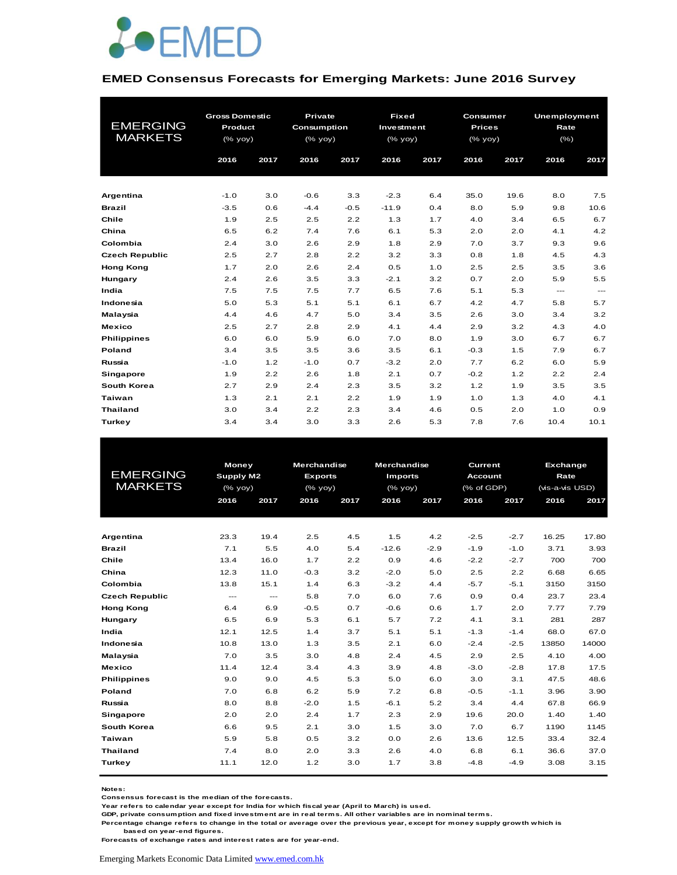

#### **EMED Consensus Forecasts for Emerging Markets: June 2016 Survey**

|                       | <b>Gross Domestic</b> |      | <b>Private</b>     |        | <b>Fixed</b> |      | Consumer      |      | <b>Unemployment</b> |       |  |
|-----------------------|-----------------------|------|--------------------|--------|--------------|------|---------------|------|---------------------|-------|--|
| <b>EMERGING</b>       | <b>Product</b>        |      | <b>Consumption</b> |        | Investment   |      | <b>Prices</b> |      | Rate                |       |  |
| <b>MARKETS</b>        | (% yoy)               |      | (% yoy)            |        | (% yoy)      |      | (% yoy)       |      | $(\% )$             |       |  |
|                       | 2016                  | 2017 | 2016               | 2017   | 2016         | 2017 | 2016          | 2017 | 2016                | 2017  |  |
|                       |                       |      |                    |        |              |      |               |      |                     |       |  |
|                       |                       |      |                    |        |              |      |               |      |                     |       |  |
| Argentina             | $-1.0$                | 3.0  | $-0.6$             | 3.3    | $-2.3$       | 6.4  | 35.0          | 19.6 | 8.0                 | 7.5   |  |
| <b>Brazil</b>         | $-3.5$                | 0.6  | $-4.4$             | $-0.5$ | $-11.9$      | 0.4  | 8.0           | 5.9  | 9.8                 | 10.6  |  |
| Chile                 | 1.9                   | 2.5  | 2.5                | 2.2    | 1.3          | 1.7  | 4.0           | 3.4  | 6.5                 | 6.7   |  |
| China                 | 6.5                   | 6.2  | 7.4                | 7.6    | 6.1          | 5.3  | 2.0           | 2.0  | 4.1                 | 4.2   |  |
| Colombia              | 2.4                   | 3.0  | 2.6                | 2.9    | 1.8          | 2.9  | 7.0           | 3.7  | 9.3                 | 9.6   |  |
| <b>Czech Republic</b> | 2.5                   | 2.7  | 2.8                | 2.2    | 3.2          | 3.3  | 0.8           | 1.8  | 4.5                 | 4.3   |  |
| <b>Hong Kong</b>      | 1.7                   | 2.0  | 2.6                | 2.4    | 0.5          | 1.0  | 2.5           | 2.5  | 3.5                 | 3.6   |  |
| Hungary               | 2.4                   | 2.6  | 3.5                | 3.3    | $-2.1$       | 3.2  | 0.7           | 2.0  | 5.9                 | 5.5   |  |
| India                 | 7.5                   | 7.5  | 7.5                | 7.7    | 6.5          | 7.6  | 5.1           | 5.3  | $\qquad \qquad -$   | $---$ |  |
| Indonesia             | 5.0                   | 5.3  | 5.1                | 5.1    | 6.1          | 6.7  | 4.2           | 4.7  | 5.8                 | 5.7   |  |
| Malaysia              | 4.4                   | 4.6  | 4.7                | 5.0    | 3.4          | 3.5  | 2.6           | 3.0  | 3.4                 | 3.2   |  |
| <b>Mexico</b>         | 2.5                   | 2.7  | 2.8                | 2.9    | 4.1          | 4.4  | 2.9           | 3.2  | 4.3                 | 4.0   |  |
| <b>Philippines</b>    | 6.0                   | 6.0  | 5.9                | 6.0    | 7.0          | 8.0  | 1.9           | 3.0  | 6.7                 | 6.7   |  |
| Poland                | 3.4                   | 3.5  | 3.5                | 3.6    | 3.5          | 6.1  | $-0.3$        | 1.5  | 7.9                 | 6.7   |  |
| Russia                | $-1.0$                | 1.2  | $-1.0$             | 0.7    | $-3.2$       | 2.0  | 7.7           | 6.2  | 6.0                 | 5.9   |  |
| Singapore             | 1.9                   | 2.2  | 2.6                | 1.8    | 2.1          | 0.7  | $-0.2$        | 1.2  | 2.2                 | 2.4   |  |
| South Korea           | 2.7                   | 2.9  | 2.4                | 2.3    | 3.5          | 3.2  | 1.2           | 1.9  | 3.5                 | 3.5   |  |
| <b>Taiwan</b>         | 1.3                   | 2.1  | 2.1                | 2.2    | 1.9          | 1.9  | 1.0           | 1.3  | 4.0                 | 4.1   |  |
| <b>Thailand</b>       | 3.0                   | 3.4  | 2.2                | 2.3    | 3.4          | 4.6  | 0.5           | 2.0  | 1.0                 | 0.9   |  |
| Turkey                | 3.4                   | 3.4  | 3.0                | 3.3    | 2.6          | 5.3  | 7.8           | 7.6  | 10.4                | 10.1  |  |

| <b>EMERGING</b><br><b>MARKETS</b> |               | Money<br>Supply M2<br>$(%$ (% yoy) |        | <b>Merchandise</b><br><b>Exports</b><br>$(\%$ yoy) | <b>Merchandise</b><br><b>Imports</b><br>$(\%$ yoy) |        | <b>Current</b><br><b>Account</b><br>(% of GDP) |        | Exchange<br>Rate<br>(vis-a-vis USD) |       |
|-----------------------------------|---------------|------------------------------------|--------|----------------------------------------------------|----------------------------------------------------|--------|------------------------------------------------|--------|-------------------------------------|-------|
|                                   | 2016          | 2017                               | 2016   | 2017                                               | 2016                                               | 2017   | 2016                                           | 2017   | 2016                                | 2017  |
|                                   |               |                                    |        |                                                    |                                                    |        |                                                |        |                                     |       |
| Argentina                         | 23.3          | 19.4                               | 2.5    | 4.5                                                | 1.5                                                | 4.2    | $-2.5$                                         | $-2.7$ | 16.25                               | 17.80 |
| <b>Brazil</b>                     | 7.1           | 5.5                                | 4.0    | 5.4                                                | $-12.6$                                            | $-2.9$ | $-1.9$                                         | $-1.0$ | 3.71                                | 3.93  |
| Chile                             | 13.4          | 16.0                               | 1.7    | 2.2                                                | 0.9                                                | 4.6    | $-2.2$                                         | $-2.7$ | 700                                 | 700   |
| China                             | 12.3          | 11.0                               | $-0.3$ | 3.2                                                | $-2.0$                                             | 5.0    | 2.5                                            | 2.2    | 6.68                                | 6.65  |
| Colombia                          | 13.8          | 15.1                               | 1.4    | 6.3                                                | $-3.2$                                             | 4.4    | $-5.7$                                         | $-5.1$ | 3150                                | 3150  |
| <b>Czech Republic</b>             | $\frac{1}{2}$ | $\frac{1}{2}$                      | 5.8    | 7.0                                                | 6.0                                                | 7.6    | 0.9                                            | 0.4    | 23.7                                | 23.4  |
| <b>Hong Kong</b>                  | 6.4           | 6.9                                | $-0.5$ | 0.7                                                | $-0.6$                                             | 0.6    | 1.7                                            | 2.0    | 7.77                                | 7.79  |
| Hungary                           | 6.5           | 6.9                                | 5.3    | 6.1                                                | 5.7                                                | 7.2    | 4.1                                            | 3.1    | 281                                 | 287   |
| India                             | 12.1          | 12.5                               | 1.4    | 3.7                                                | 5.1                                                | 5.1    | $-1.3$                                         | $-1.4$ | 68.0                                | 67.0  |
| Indonesia                         | 10.8          | 13.0                               | 1.3    | 3.5                                                | 2.1                                                | 6.0    | $-2.4$                                         | $-2.5$ | 13850                               | 14000 |
| Malaysia                          | 7.0           | 3.5                                | 3.0    | 4.8                                                | 2.4                                                | 4.5    | 2.9                                            | 2.5    | 4.10                                | 4.00  |
| Mexico                            | 11.4          | 12.4                               | 3.4    | 4.3                                                | 3.9                                                | 4.8    | $-3.0$                                         | $-2.8$ | 17.8                                | 17.5  |
| <b>Philippines</b>                | 9.0           | 9.0                                | 4.5    | 5.3                                                | 5.0                                                | 6.0    | 3.0                                            | 3.1    | 47.5                                | 48.6  |
| Poland                            | 7.0           | 6.8                                | 6.2    | 5.9                                                | 7.2                                                | 6.8    | $-0.5$                                         | $-1.1$ | 3.96                                | 3.90  |
| Russia                            | 8.0           | 8.8                                | $-2.0$ | 1.5                                                | $-6.1$                                             | 5.2    | 3.4                                            | 4.4    | 67.8                                | 66.9  |
| <b>Singapore</b>                  | 2.0           | 2.0                                | 2.4    | 1.7                                                | 2.3                                                | 2.9    | 19.6                                           | 20.0   | 1.40                                | 1.40  |
| South Korea                       | 6.6           | 9.5                                | 2.1    | 3.0                                                | 1.5                                                | 3.0    | 7.0                                            | 6.7    | 1190                                | 1145  |
| Taiwan                            | 5.9           | 5.8                                | 0.5    | 3.2                                                | 0.0                                                | 2.6    | 13.6                                           | 12.5   | 33.4                                | 32.4  |
| <b>Thailand</b>                   | 7.4           | 8.0                                | 2.0    | 3.3                                                | 2.6                                                | 4.0    | 6.8                                            | 6.1    | 36.6                                | 37.0  |
| Turkey                            | 11.1          | 12.0                               | 1.2    | 3.0                                                | 1.7                                                | 3.8    | $-4.8$                                         | $-4.9$ | 3.08                                | 3.15  |
|                                   |               |                                    |        |                                                    |                                                    |        |                                                |        |                                     |       |

**Notes:** 

**Consensus forecast is the median of the forecasts.**

**Year refers to calendar year except for India for which fiscal year (April to March) is used.**

**GDP, private consumption and fixed investment are in real terms. All other variables are in nominal terms.**

**Percentage change refers to change in the total or average over the previous year, except for money supply growth which is based on year-end figures.**

**Forecasts of exchange rates and interest rates are for year-end.**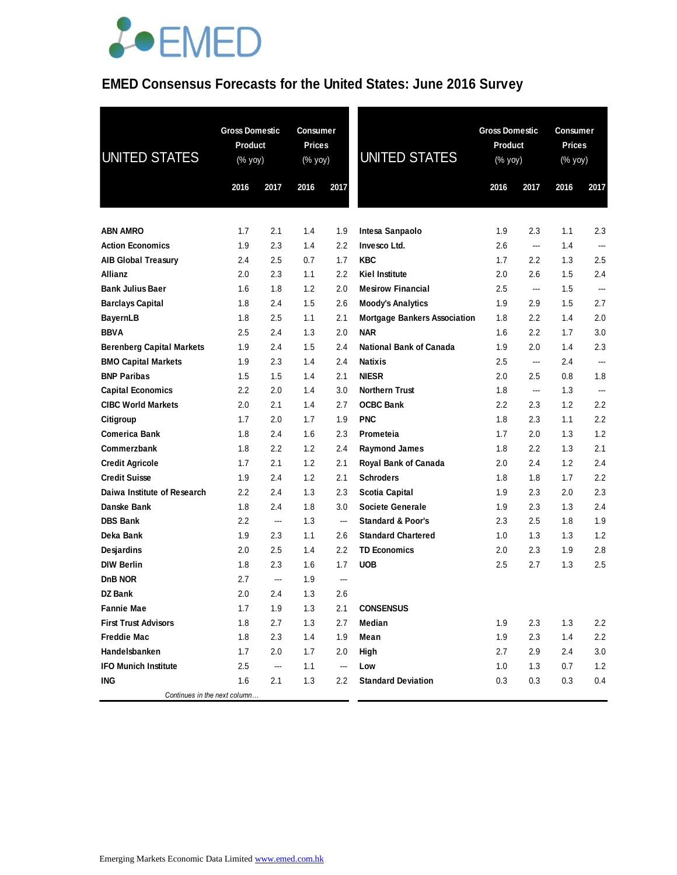

## **EMED Consensus Forecasts for the United States: June 2016 Survey**

| <b>UNITED STATES</b>             | <b>Gross Domestic</b><br>Product<br>(% yoy) |        | <b>Consumer</b><br><b>Prices</b><br>(% yoy) |         | UNITED STATES                       |         | <b>Gross Domestic</b><br>Product<br>(% yoy) |      | <b>Consumer</b><br><b>Prices</b><br>(% yoy) |  |
|----------------------------------|---------------------------------------------|--------|---------------------------------------------|---------|-------------------------------------|---------|---------------------------------------------|------|---------------------------------------------|--|
|                                  | 2016                                        | 2017   | 2016                                        | 2017    |                                     | 2016    | 2017                                        | 2016 | 2017                                        |  |
| <b>ABN AMRO</b>                  | 1.7                                         | 2.1    | 1.4                                         | 1.9     | Intesa Sanpaolo                     | 1.9     | 2.3                                         | 1.1  | 2.3                                         |  |
| <b>Action Economics</b>          | 1.9                                         | 2.3    | 1.4                                         | 2.2     | Invesco Ltd.                        | 2.6     | ---                                         | 1.4  | $\sim$                                      |  |
| <b>AIB Global Treasury</b>       | 2.4                                         | 2.5    | 0.7                                         | 1.7     | <b>KBC</b>                          | 1.7     | $2.2\,$                                     | 1.3  | 2.5                                         |  |
| Allianz                          | 2.0                                         | 2.3    | 1.1                                         | 2.2     | <b>Kiel Institute</b>               | 2.0     | 2.6                                         | 1.5  | 2.4                                         |  |
| <b>Bank Julius Baer</b>          | 1.6                                         | 1.8    | 1.2                                         | 2.0     | <b>Mesirow Financial</b>            | $2.5\,$ | $\overline{\phantom{a}}$                    | 1.5  | ---                                         |  |
| <b>Barclays Capital</b>          | 1.8                                         | 2.4    | 1.5                                         | 2.6     | <b>Moody's Analytics</b>            | 1.9     | 2.9                                         | 1.5  | 2.7                                         |  |
| <b>BayernLB</b>                  | 1.8                                         | 2.5    | 1.1                                         | 2.1     | <b>Mortgage Bankers Association</b> | 1.8     | $2.2\,$                                     | 1.4  | 2.0                                         |  |
| <b>BBVA</b>                      | 2.5                                         | 2.4    | 1.3                                         | 2.0     | <b>NAR</b>                          | 1.6     | $2.2\,$                                     | 1.7  | 3.0                                         |  |
| <b>Berenberg Capital Markets</b> | 1.9                                         | 2.4    | 1.5                                         | 2.4     | National Bank of Canada             | 1.9     | 2.0                                         | 1.4  | 2.3                                         |  |
| <b>BMO Capital Markets</b>       | 1.9                                         | 2.3    | 1.4                                         | 2.4     | <b>Natixis</b>                      | 2.5     | --                                          | 2.4  | ---                                         |  |
| <b>BNP Paribas</b>               | 1.5                                         | 1.5    | 1.4                                         | 2.1     | <b>NIESR</b>                        | 2.0     | $2.5\,$                                     | 0.8  | 1.8                                         |  |
| <b>Capital Economics</b>         | 2.2                                         | 2.0    | 1.4                                         | 3.0     | <b>Northern Trust</b>               | 1.8     | ---                                         | 1.3  | ---                                         |  |
| <b>CIBC World Markets</b>        | 2.0                                         | 2.1    | 1.4                                         | 2.7     | <b>OCBC Bank</b>                    | 2.2     | 2.3                                         | 1.2  | 2.2                                         |  |
| Citigroup                        | 1.7                                         | 2.0    | 1.7                                         | 1.9     | <b>PNC</b>                          | 1.8     | 2.3                                         | 1.1  | 2.2                                         |  |
| Comerica Bank                    | 1.8                                         | 2.4    | 1.6                                         | 2.3     | Prometeia                           | 1.7     | 2.0                                         | 1.3  | 1.2                                         |  |
| Commerzbank                      | 1.8                                         | 2.2    | 1.2                                         | 2.4     | <b>Raymond James</b>                | 1.8     | $2.2\,$                                     | 1.3  | 2.1                                         |  |
| <b>Credit Agricole</b>           | 1.7                                         | 2.1    | 1.2                                         | 2.1     | Royal Bank of Canada                | 2.0     | 2.4                                         | 1.2  | 2.4                                         |  |
| <b>Credit Suisse</b>             | 1.9                                         | 2.4    | 1.2                                         | 2.1     | <b>Schroders</b>                    | 1.8     | 1.8                                         | 1.7  | 2.2                                         |  |
| Daiwa Institute of Research      | 2.2                                         | 2.4    | 1.3                                         | 2.3     | <b>Scotia Capital</b>               | 1.9     | 2.3                                         | 2.0  | 2.3                                         |  |
| Danske Bank                      | 1.8                                         | 2.4    | 1.8                                         | 3.0     | <b>Societe Generale</b>             | 1.9     | 2.3                                         | 1.3  | 2.4                                         |  |
| <b>DBS Bank</b>                  | $2.2\,$                                     | $\sim$ | 1.3                                         | ---     | <b>Standard &amp; Poor's</b>        | 2.3     | 2.5                                         | 1.8  | 1.9                                         |  |
| Deka Bank                        | 1.9                                         | 2.3    | 1.1                                         | 2.6     | <b>Standard Chartered</b>           | 1.0     | 1.3                                         | 1.3  | 1.2                                         |  |
| <b>Desjardins</b>                | 2.0                                         | 2.5    | 1.4                                         | 2.2     | <b>TD Economics</b>                 | 2.0     | 2.3                                         | 1.9  | 2.8                                         |  |
| <b>DIW Berlin</b>                | 1.8                                         | 2.3    | 1.6                                         | 1.7     | <b>UOB</b>                          | 2.5     | 2.7                                         | 1.3  | 2.5                                         |  |
| DnB NOR                          | 2.7                                         | ---    | 1.9                                         | $\sim$  |                                     |         |                                             |      |                                             |  |
| <b>DZ Bank</b>                   | 2.0                                         | 2.4    | 1.3                                         | 2.6     |                                     |         |                                             |      |                                             |  |
| <b>Fannie Mae</b>                | 1.7                                         | 1.9    | 1.3                                         | 2.1     | <b>CONSENSUS</b>                    |         |                                             |      |                                             |  |
| <b>First Trust Advisors</b>      | 1.8                                         | 2.7    | 1.3                                         | 2.7     | Median                              | 1.9     | 2.3                                         | 1.3  | 2.2                                         |  |
| <b>Freddie Mac</b>               | 1.8                                         | 2.3    | 1.4                                         | 1.9     | Mean                                | 1.9     | 2.3                                         | 1.4  | 2.2                                         |  |
| Handelsbanken                    | 1.7                                         | 2.0    | 1.7                                         | 2.0     | High                                | 2.7     | 2.9                                         | 2.4  | $3.0\,$                                     |  |
| <b>IFO Munich Institute</b>      | 2.5                                         | ---    | 1.1                                         | $\sim$  | Low                                 | 1.0     | 1.3                                         | 0.7  | 1.2                                         |  |
| ING                              | 1.6                                         | 2.1    | 1.3                                         | $2.2\,$ | <b>Standard Deviation</b>           | 0.3     | 0.3                                         | 0.3  | 0.4                                         |  |
| Continues in the next column     |                                             |        |                                             |         |                                     |         |                                             |      |                                             |  |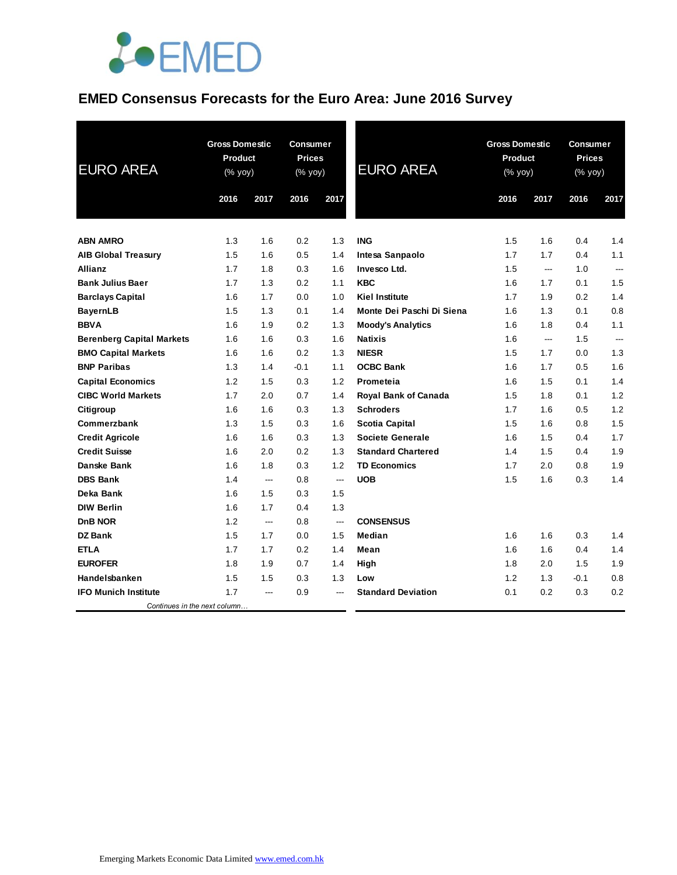

### **EMED Consensus Forecasts for the Euro Area: June 2016 Survey**

| <b>EURO AREA</b>                 | <b>Gross Domestic</b><br>Product<br>(% yoy) |      | <b>Consumer</b><br><b>Prices</b><br>(% yoy) |      | <b>EURO AREA</b>          | <b>Gross Domestic</b><br>Product<br>(% yoy) |      | <b>Consumer</b><br><b>Prices</b><br>(% yoy) |                |
|----------------------------------|---------------------------------------------|------|---------------------------------------------|------|---------------------------|---------------------------------------------|------|---------------------------------------------|----------------|
|                                  | 2016                                        | 2017 | 2016                                        | 2017 |                           | 2016                                        | 2017 | 2016                                        | 2017           |
|                                  |                                             |      |                                             |      |                           |                                             |      |                                             |                |
| <b>ABN AMRO</b>                  | 1.3                                         | 1.6  | 0.2                                         | 1.3  | <b>ING</b>                | 1.5                                         | 1.6  | 0.4                                         | 1.4            |
| <b>AIB Global Treasury</b>       | 1.5                                         | 1.6  | 0.5                                         | 1.4  | Intesa Sanpaolo           | 1.7                                         | 1.7  | 0.4                                         | 1.1            |
| <b>Allianz</b>                   | 1.7                                         | 1.8  | 0.3                                         | 1.6  | Invesco Ltd.              | 1.5                                         | ---  | 1.0                                         | $\overline{a}$ |
| <b>Bank Julius Baer</b>          | 1.7                                         | 1.3  | 0.2                                         | 1.1  | <b>KBC</b>                | 1.6                                         | 1.7  | 0.1                                         | 1.5            |
| <b>Barclays Capital</b>          | 1.6                                         | 1.7  | 0.0                                         | 1.0  | <b>Kiel Institute</b>     | 1.7                                         | 1.9  | 0.2                                         | 1.4            |
| <b>BayernLB</b>                  | 1.5                                         | 1.3  | 0.1                                         | 1.4  | Monte Dei Paschi Di Siena | 1.6                                         | 1.3  | 0.1                                         | 0.8            |
| <b>BBVA</b>                      | 1.6                                         | 1.9  | 0.2                                         | 1.3  | <b>Moody's Analytics</b>  | 1.6                                         | 1.8  | 0.4                                         | 1.1            |
| <b>Berenberg Capital Markets</b> | 1.6                                         | 1.6  | 0.3                                         | 1.6  | <b>Natixis</b>            | 1.6                                         | ---  | 1.5                                         |                |
| <b>BMO Capital Markets</b>       | 1.6                                         | 1.6  | 0.2                                         | 1.3  | <b>NIESR</b>              | 1.5                                         | 1.7  | 0.0                                         | 1.3            |
| <b>BNP Paribas</b>               | 1.3                                         | 1.4  | $-0.1$                                      | 1.1  | <b>OCBC Bank</b>          | 1.6                                         | 1.7  | 0.5                                         | 1.6            |
| <b>Capital Economics</b>         | 1.2                                         | 1.5  | 0.3                                         | 1.2  | Prometeia                 | 1.6                                         | 1.5  | 0.1                                         | 1.4            |
| <b>CIBC World Markets</b>        | 1.7                                         | 2.0  | 0.7                                         | 1.4  | Royal Bank of Canada      | 1.5                                         | 1.8  | 0.1                                         | 1.2            |
| Citigroup                        | 1.6                                         | 1.6  | 0.3                                         | 1.3  | <b>Schroders</b>          | 1.7                                         | 1.6  | 0.5                                         | 1.2            |
| Commerzbank                      | 1.3                                         | 1.5  | 0.3                                         | 1.6  | <b>Scotia Capital</b>     | 1.5                                         | 1.6  | 0.8                                         | 1.5            |
| <b>Credit Agricole</b>           | 1.6                                         | 1.6  | 0.3                                         | 1.3  | <b>Societe Generale</b>   | 1.6                                         | 1.5  | 0.4                                         | 1.7            |
| <b>Credit Suisse</b>             | 1.6                                         | 2.0  | 0.2                                         | 1.3  | <b>Standard Chartered</b> | 1.4                                         | 1.5  | 0.4                                         | 1.9            |
| Danske Bank                      | 1.6                                         | 1.8  | 0.3                                         | 1.2  | <b>TD Economics</b>       | 1.7                                         | 2.0  | 0.8                                         | 1.9            |
| <b>DBS Bank</b>                  | 1.4                                         | ---  | 0.8                                         | ---  | <b>UOB</b>                | 1.5                                         | 1.6  | 0.3                                         | 1.4            |
| Deka Bank                        | 1.6                                         | 1.5  | 0.3                                         | 1.5  |                           |                                             |      |                                             |                |
| <b>DIW Berlin</b>                | 1.6                                         | 1.7  | 0.4                                         | 1.3  |                           |                                             |      |                                             |                |
| DnB NOR                          | 1.2                                         | ---  | 0.8                                         | ---  | <b>CONSENSUS</b>          |                                             |      |                                             |                |
| <b>DZ Bank</b>                   | 1.5                                         | 1.7  | 0.0                                         | 1.5  | Median                    | 1.6                                         | 1.6  | 0.3                                         | 1.4            |
| <b>ETLA</b>                      | 1.7                                         | 1.7  | 0.2                                         | 1.4  | Mean                      | 1.6                                         | 1.6  | 0.4                                         | 1.4            |
| <b>EUROFER</b>                   | 1.8                                         | 1.9  | 0.7                                         | 1.4  | High                      | 1.8                                         | 2.0  | 1.5                                         | 1.9            |
| Handelsbanken                    | 1.5                                         | 1.5  | 0.3                                         | 1.3  | Low                       | 1.2                                         | 1.3  | $-0.1$                                      | 0.8            |
| <b>IFO Munich Institute</b>      | 1.7                                         | ---  | 0.9                                         |      | <b>Standard Deviation</b> | 0.1                                         | 0.2  | 0.3                                         | 0.2            |
| Continues in the next column     |                                             |      |                                             |      |                           |                                             |      |                                             |                |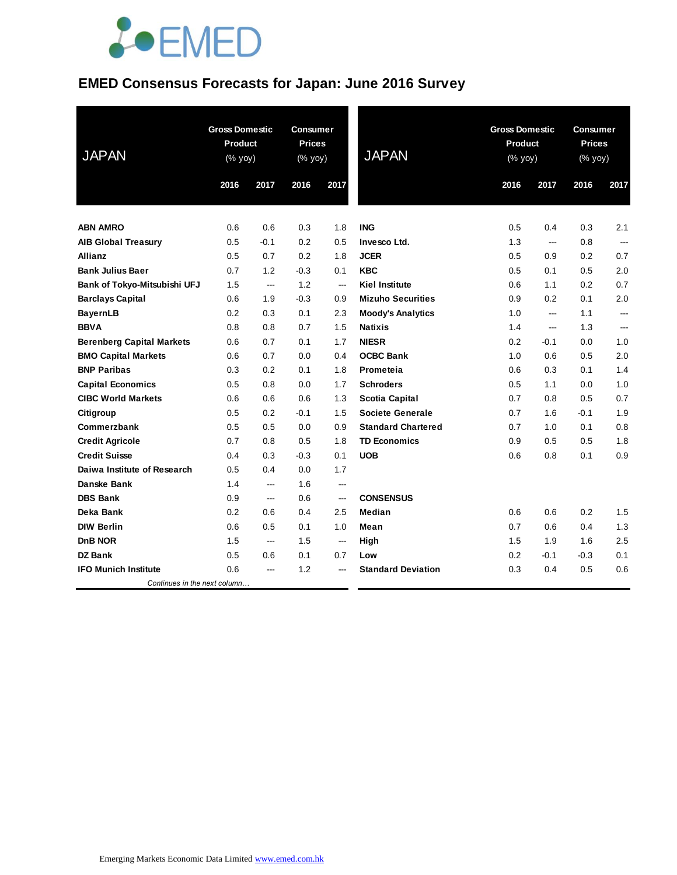# **JOEMED**

## **EMED Consensus Forecasts for Japan: June 2016 Survey**

| <b>JAPAN</b>                     | <b>Gross Domestic</b><br><b>Product</b><br>(% yoy) |        | <b>Consumer</b><br><b>Prices</b><br>(% yoy) |                          | <b>JAPAN</b>              | <b>Gross Domestic</b><br><b>Product</b><br>(% yoy) |                | <b>Consumer</b><br><b>Prices</b><br>(% yoy) |                          |
|----------------------------------|----------------------------------------------------|--------|---------------------------------------------|--------------------------|---------------------------|----------------------------------------------------|----------------|---------------------------------------------|--------------------------|
|                                  | 2016                                               | 2017   | 2016                                        | 2017                     |                           | 2016                                               | 2017           | 2016                                        | 2017                     |
|                                  |                                                    |        |                                             |                          |                           |                                                    |                |                                             |                          |
| <b>ABN AMRO</b>                  | 0.6                                                | 0.6    | 0.3                                         | 1.8                      | <b>ING</b>                | 0.5                                                | 0.4            | 0.3                                         | 2.1                      |
| <b>AIB Global Treasury</b>       | 0.5                                                | $-0.1$ | 0.2                                         | 0.5                      | Invesco Ltd.              | 1.3                                                | $\overline{a}$ | 0.8                                         | $\overline{a}$           |
| <b>Allianz</b>                   | 0.5                                                | 0.7    | 0.2                                         | 1.8                      | <b>JCER</b>               | 0.5                                                | 0.9            | 0.2                                         | 0.7                      |
| <b>Bank Julius Baer</b>          | 0.7                                                | 1.2    | $-0.3$                                      | 0.1                      | <b>KBC</b>                | 0.5                                                | 0.1            | 0.5                                         | 2.0                      |
| Bank of Tokyo-Mitsubishi UFJ     | 1.5                                                | ---    | 1.2                                         | $\overline{\phantom{a}}$ | <b>Kiel Institute</b>     | 0.6                                                | 1.1            | 0.2                                         | 0.7                      |
| <b>Barclays Capital</b>          | 0.6                                                | 1.9    | $-0.3$                                      | 0.9                      | <b>Mizuho Securities</b>  | 0.9                                                | 0.2            | 0.1                                         | 2.0                      |
| <b>BayernLB</b>                  | 0.2                                                | 0.3    | 0.1                                         | 2.3                      | <b>Moody's Analytics</b>  | 1.0                                                | ---            | 1.1                                         | $\overline{\phantom{a}}$ |
| <b>BBVA</b>                      | 0.8                                                | 0.8    | 0.7                                         | 1.5                      | <b>Natixis</b>            | 1.4                                                | ---            | 1.3                                         | ---                      |
| <b>Berenberg Capital Markets</b> | 0.6                                                | 0.7    | 0.1                                         | 1.7                      | <b>NIESR</b>              | 0.2                                                | $-0.1$         | 0.0                                         | 1.0                      |
| <b>BMO Capital Markets</b>       | 0.6                                                | 0.7    | 0.0                                         | 0.4                      | <b>OCBC Bank</b>          | 1.0                                                | 0.6            | 0.5                                         | 2.0                      |
| <b>BNP Paribas</b>               | 0.3                                                | 0.2    | 0.1                                         | 1.8                      | Prometeia                 | 0.6                                                | 0.3            | 0.1                                         | 1.4                      |
| <b>Capital Economics</b>         | 0.5                                                | 0.8    | 0.0                                         | 1.7                      | <b>Schroders</b>          | 0.5                                                | 1.1            | 0.0                                         | 1.0                      |
| <b>CIBC World Markets</b>        | 0.6                                                | 0.6    | 0.6                                         | 1.3                      | <b>Scotia Capital</b>     | 0.7                                                | 0.8            | 0.5                                         | 0.7                      |
| Citigroup                        | 0.5                                                | 0.2    | $-0.1$                                      | 1.5                      | <b>Societe Generale</b>   | 0.7                                                | 1.6            | $-0.1$                                      | 1.9                      |
| Commerzbank                      | 0.5                                                | 0.5    | 0.0                                         | 0.9                      | <b>Standard Chartered</b> | 0.7                                                | 1.0            | 0.1                                         | 0.8                      |
| <b>Credit Agricole</b>           | 0.7                                                | 0.8    | 0.5                                         | 1.8                      | <b>TD Economics</b>       | 0.9                                                | 0.5            | 0.5                                         | 1.8                      |
| <b>Credit Suisse</b>             | 0.4                                                | 0.3    | $-0.3$                                      | 0.1                      | <b>UOB</b>                | 0.6                                                | 0.8            | 0.1                                         | 0.9                      |
| Daiwa Institute of Research      | 0.5                                                | 0.4    | 0.0                                         | 1.7                      |                           |                                                    |                |                                             |                          |
| Danske Bank                      | 1.4                                                | ---    | 1.6                                         | ---                      |                           |                                                    |                |                                             |                          |
| <b>DBS Bank</b>                  | 0.9                                                | $---$  | 0.6                                         | ---                      | <b>CONSENSUS</b>          |                                                    |                |                                             |                          |
| Deka Bank                        | 0.2                                                | 0.6    | 0.4                                         | 2.5                      | Median                    | 0.6                                                | 0.6            | 0.2                                         | 1.5                      |
| <b>DIW Berlin</b>                | 0.6                                                | 0.5    | 0.1                                         | 1.0                      | Mean                      | 0.7                                                | 0.6            | 0.4                                         | 1.3                      |
| <b>DnB NOR</b>                   | 1.5                                                | ---    | 1.5                                         | $\overline{\phantom{a}}$ | High                      | 1.5                                                | 1.9            | 1.6                                         | 2.5                      |
| <b>DZ Bank</b>                   | 0.5                                                | 0.6    | 0.1                                         | 0.7                      | Low                       | 0.2                                                | $-0.1$         | $-0.3$                                      | 0.1                      |
| <b>IFO Munich Institute</b>      | 0.6                                                | ---    | 1.2                                         | ---                      | <b>Standard Deviation</b> | 0.3                                                | 0.4            | 0.5                                         | 0.6                      |
| Continues in the next column     |                                                    |        |                                             |                          |                           |                                                    |                |                                             |                          |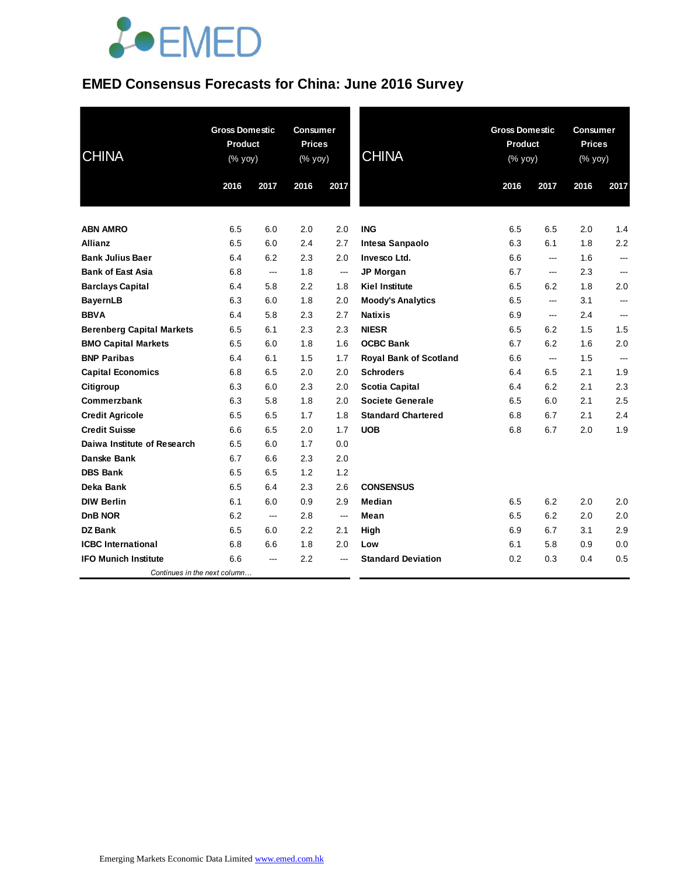# **JOEMED**

# **EMED Consensus Forecasts for China: June 2016 Survey**

| <b>CHINA</b>                     | <b>Gross Domestic</b><br><b>Product</b><br>(% yoy) |                | <b>Consumer</b><br><b>Prices</b><br>$(% \mathsf{Y}^{\prime }\mathsf{Y}^{\prime }\mathsf{Y}^{\prime })$ |                          | <b>CHINA</b>                  | <b>Gross Domestic</b><br><b>Product</b><br>$(% \mathsf{y}\right)$ (% $\overline{\mathsf{y}\mathsf{y}}$ ) |                | <b>Consumer</b><br><b>Prices</b><br>(% yoy) |                          |
|----------------------------------|----------------------------------------------------|----------------|--------------------------------------------------------------------------------------------------------|--------------------------|-------------------------------|----------------------------------------------------------------------------------------------------------|----------------|---------------------------------------------|--------------------------|
|                                  | 2016                                               | 2017           | 2016                                                                                                   | 2017                     |                               | 2016                                                                                                     | 2017           | 2016                                        | 2017                     |
|                                  |                                                    |                |                                                                                                        |                          |                               |                                                                                                          |                |                                             |                          |
| <b>ABN AMRO</b>                  | 6.5                                                | 6.0            | 2.0                                                                                                    | 2.0                      | <b>ING</b>                    | 6.5                                                                                                      | 6.5            | 2.0                                         | 1.4                      |
| <b>Allianz</b>                   | 6.5                                                | 6.0            | 2.4                                                                                                    | 2.7                      | Intesa Sanpaolo               | 6.3                                                                                                      | 6.1            | 1.8                                         | 2.2                      |
| <b>Bank Julius Baer</b>          | 6.4                                                | 6.2            | 2.3                                                                                                    | 2.0                      | Invesco Ltd.                  | 6.6                                                                                                      | ---            | 1.6                                         | $\overline{\phantom{a}}$ |
| <b>Bank of East Asia</b>         | 6.8                                                | ---            | 1.8                                                                                                    | ---                      | JP Morgan                     | 6.7                                                                                                      | ---            | 2.3                                         |                          |
| <b>Barclays Capital</b>          | 6.4                                                | 5.8            | 2.2                                                                                                    | 1.8                      | <b>Kiel Institute</b>         | 6.5                                                                                                      | 6.2            | 1.8                                         | 2.0                      |
| <b>BayernLB</b>                  | 6.3                                                | 6.0            | 1.8                                                                                                    | 2.0                      | <b>Moody's Analytics</b>      | 6.5                                                                                                      | ---            | 3.1                                         | ---                      |
| <b>BBVA</b>                      | 6.4                                                | 5.8            | 2.3                                                                                                    | 2.7                      | <b>Natixis</b>                | 6.9                                                                                                      | $\overline{a}$ | 2.4                                         | $\overline{\phantom{a}}$ |
| <b>Berenberg Capital Markets</b> | 6.5                                                | 6.1            | 2.3                                                                                                    | 2.3                      | <b>NIESR</b>                  | 6.5                                                                                                      | 6.2            | 1.5                                         | 1.5                      |
| <b>BMO Capital Markets</b>       | 6.5                                                | 6.0            | 1.8                                                                                                    | 1.6                      | <b>OCBC Bank</b>              | 6.7                                                                                                      | 6.2            | 1.6                                         | 2.0                      |
| <b>BNP Paribas</b>               | 6.4                                                | 6.1            | 1.5                                                                                                    | 1.7                      | <b>Royal Bank of Scotland</b> | 6.6                                                                                                      | ---            | 1.5                                         | ---                      |
| <b>Capital Economics</b>         | 6.8                                                | 6.5            | 2.0                                                                                                    | 2.0                      | <b>Schroders</b>              | 6.4                                                                                                      | 6.5            | 2.1                                         | 1.9                      |
| Citigroup                        | 6.3                                                | 6.0            | 2.3                                                                                                    | 2.0                      | <b>Scotia Capital</b>         | 6.4                                                                                                      | 6.2            | 2.1                                         | 2.3                      |
| Commerzbank                      | 6.3                                                | 5.8            | 1.8                                                                                                    | 2.0                      | <b>Societe Generale</b>       | 6.5                                                                                                      | 6.0            | 2.1                                         | 2.5                      |
| <b>Credit Agricole</b>           | 6.5                                                | 6.5            | 1.7                                                                                                    | 1.8                      | <b>Standard Chartered</b>     | 6.8                                                                                                      | 6.7            | 2.1                                         | 2.4                      |
| <b>Credit Suisse</b>             | 6.6                                                | 6.5            | 2.0                                                                                                    | 1.7                      | <b>UOB</b>                    | 6.8                                                                                                      | 6.7            | 2.0                                         | 1.9                      |
| Daiwa Institute of Research      | 6.5                                                | 6.0            | 1.7                                                                                                    | 0.0                      |                               |                                                                                                          |                |                                             |                          |
| Danske Bank                      | 6.7                                                | 6.6            | 2.3                                                                                                    | 2.0                      |                               |                                                                                                          |                |                                             |                          |
| <b>DBS Bank</b>                  | 6.5                                                | 6.5            | 1.2                                                                                                    | 1.2                      |                               |                                                                                                          |                |                                             |                          |
| Deka Bank                        | 6.5                                                | 6.4            | 2.3                                                                                                    | 2.6                      | <b>CONSENSUS</b>              |                                                                                                          |                |                                             |                          |
| <b>DIW Berlin</b>                | 6.1                                                | 6.0            | 0.9                                                                                                    | 2.9                      | Median                        | 6.5                                                                                                      | 6.2            | 2.0                                         | 2.0                      |
| <b>DnB NOR</b>                   | 6.2                                                | $\overline{a}$ | 2.8                                                                                                    | $\overline{\phantom{a}}$ | Mean                          | 6.5                                                                                                      | 6.2            | 2.0                                         | 2.0                      |
| <b>DZ Bank</b>                   | 6.5                                                | 6.0            | 2.2                                                                                                    | 2.1                      | High                          | 6.9                                                                                                      | 6.7            | 3.1                                         | 2.9                      |
| <b>ICBC</b> International        | 6.8                                                | 6.6            | 1.8                                                                                                    | 2.0                      | Low                           | 6.1                                                                                                      | 5.8            | 0.9                                         | 0.0                      |
| <b>IFO Munich Institute</b>      | 6.6                                                | ---            | 2.2                                                                                                    | ---                      | <b>Standard Deviation</b>     | 0.2                                                                                                      | 0.3            | 0.4                                         | 0.5                      |
| Continues in the next column     |                                                    |                |                                                                                                        |                          |                               |                                                                                                          |                |                                             |                          |